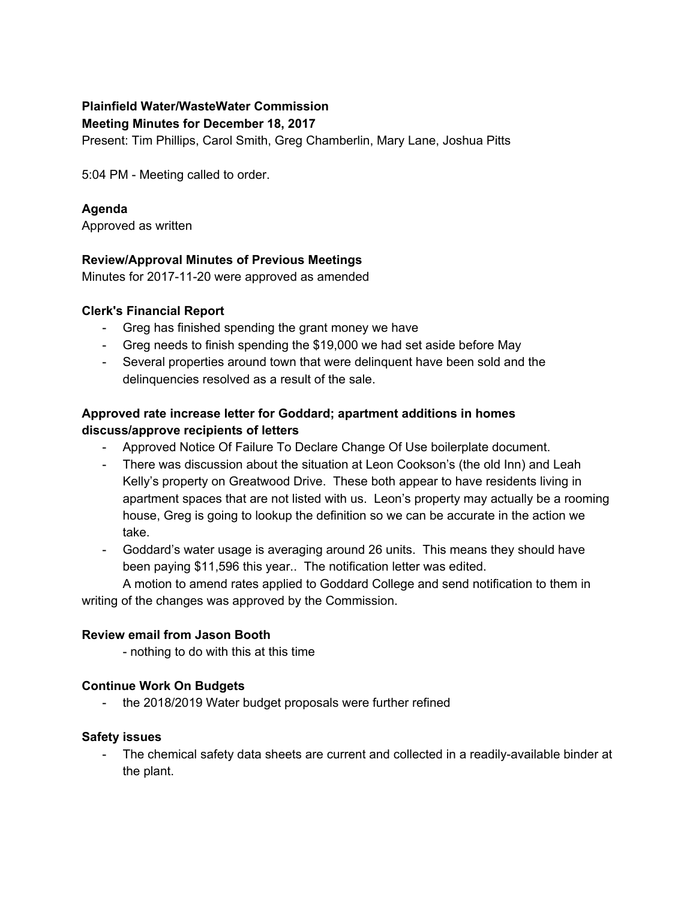#### **Plainfield Water/WasteWater Commission**

#### **Meeting Minutes for December 18, 2017**

Present: Tim Phillips, Carol Smith, Greg Chamberlin, Mary Lane, Joshua Pitts

5:04 PM - Meeting called to order.

## **Agenda**

Approved as written

## **Review/Approval Minutes of Previous Meetings**

Minutes for 2017-11-20 were approved as amended

## **Clerk's Financial Report**

- Greg has finished spending the grant money we have
- Greg needs to finish spending the \$19,000 we had set aside before May
- Several properties around town that were delinquent have been sold and the delinquencies resolved as a result of the sale.

## **Approved rate increase letter for Goddard; apartment additions in homes discuss/approve recipients of letters**

- Approved Notice Of Failure To Declare Change Of Use boilerplate document.
- There was discussion about the situation at Leon Cookson's (the old Inn) and Leah Kelly's property on Greatwood Drive. These both appear to have residents living in apartment spaces that are not listed with us. Leon's property may actually be a rooming house, Greg is going to lookup the definition so we can be accurate in the action we take.
- Goddard's water usage is averaging around 26 units. This means they should have been paying \$11,596 this year.. The notification letter was edited.

A motion to amend rates applied to Goddard College and send notification to them in writing of the changes was approved by the Commission.

## **Review email from Jason Booth**

- nothing to do with this at this time

## **Continue Work On Budgets**

- the 2018/2019 Water budget proposals were further refined

#### **Safety issues**

The chemical safety data sheets are current and collected in a readily-available binder at the plant.